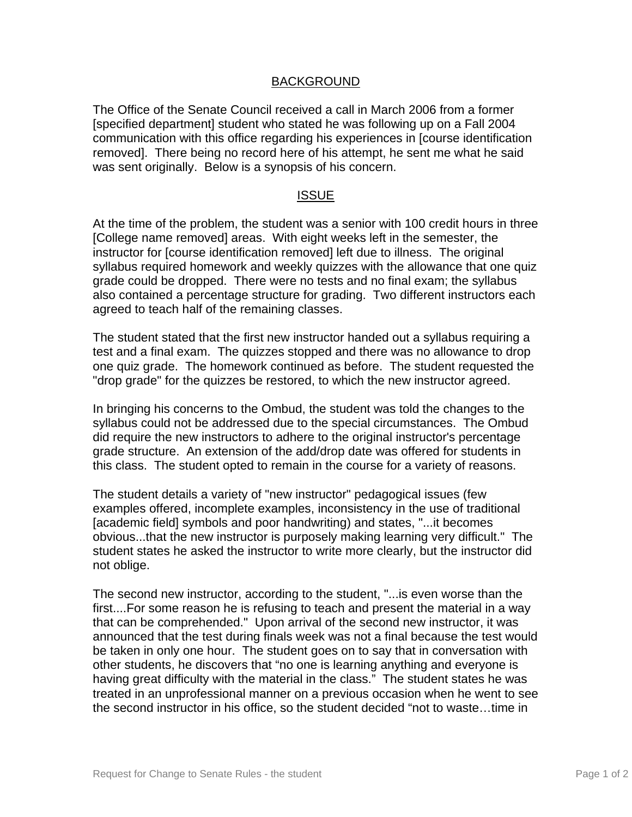## BACKGROUND

The Office of the Senate Council received a call in March 2006 from a former [specified department] student who stated he was following up on a Fall 2004 communication with this office regarding his experiences in [course identification removed]. There being no record here of his attempt, he sent me what he said was sent originally. Below is a synopsis of his concern.

## **ISSUE**

At the time of the problem, the student was a senior with 100 credit hours in three [College name removed] areas. With eight weeks left in the semester, the instructor for [course identification removed] left due to illness. The original syllabus required homework and weekly quizzes with the allowance that one quiz grade could be dropped. There were no tests and no final exam; the syllabus also contained a percentage structure for grading. Two different instructors each agreed to teach half of the remaining classes.

The student stated that the first new instructor handed out a syllabus requiring a test and a final exam. The quizzes stopped and there was no allowance to drop one quiz grade. The homework continued as before. The student requested the "drop grade" for the quizzes be restored, to which the new instructor agreed.

In bringing his concerns to the Ombud, the student was told the changes to the syllabus could not be addressed due to the special circumstances. The Ombud did require the new instructors to adhere to the original instructor's percentage grade structure. An extension of the add/drop date was offered for students in this class. The student opted to remain in the course for a variety of reasons.

The student details a variety of "new instructor" pedagogical issues (few examples offered, incomplete examples, inconsistency in the use of traditional [academic field] symbols and poor handwriting) and states, "...it becomes obvious...that the new instructor is purposely making learning very difficult." The student states he asked the instructor to write more clearly, but the instructor did not oblige.

The second new instructor, according to the student, "...is even worse than the first....For some reason he is refusing to teach and present the material in a way that can be comprehended." Upon arrival of the second new instructor, it was announced that the test during finals week was not a final because the test would be taken in only one hour. The student goes on to say that in conversation with other students, he discovers that "no one is learning anything and everyone is having great difficulty with the material in the class." The student states he was treated in an unprofessional manner on a previous occasion when he went to see the second instructor in his office, so the student decided "not to waste…time in